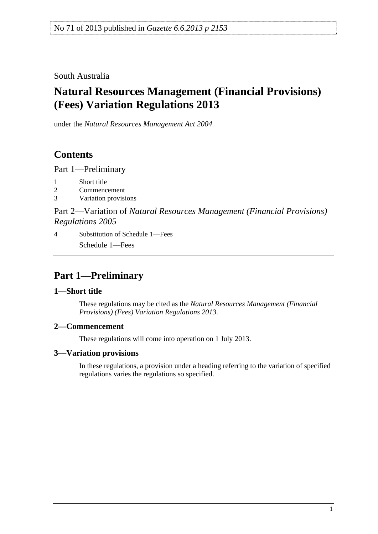<span id="page-0-0"></span>South Australia

# **Natural Resources Management (Financial Provisions) (Fees) Variation Regulations 2013**

under the *Natural Resources Management Act 2004*

# **Contents**

[Part 1—Preliminary](#page-0-0)

- [1 Short title](#page-0-0)
- [2 Commencement](#page-0-0)
- [3 Variation provisions](#page-0-0)

Part 2—Variation of *[Natural Resources Management \(Financial Provisions\)](#page-1-0)  [Regulations 2005](#page-1-0)*

[4 Substitution of Schedule 1—Fees](#page-1-0) [Schedule 1—Fees](#page-0-0) 

# **Part 1—Preliminary**

### **1—Short title**

These regulations may be cited as the *Natural Resources Management (Financial Provisions) (Fees) Variation Regulations 2013*.

#### **2—Commencement**

These regulations will come into operation on 1 July 2013.

### **3—Variation provisions**

In these regulations, a provision under a heading referring to the variation of specified regulations varies the regulations so specified.